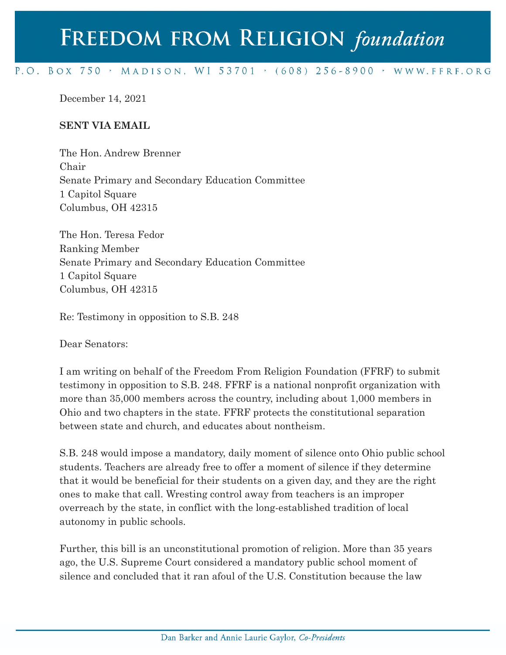## FREEDOM FROM RELIGION foundation

## P.O. BOX 750 > MADISON, WI 53701 > (608) 256-8900 > WWW.FFRF.ORG

December 14, 2021

## **SENT VIA EMAIL**

The Hon. Andrew Brenner Chair Senate Primary and Secondary Education Committee 1 Capitol Square Columbus, OH 42315

The Hon. Teresa Fedor Ranking Member Senate Primary and Secondary Education Committee 1 Capitol Square Columbus, OH 42315

Re: Testimony in opposition to S.B. 248

Dear Senators:

I am writing on behalf of the Freedom From Religion Foundation (FFRF) to submit testimony in opposition to S.B. 248. FFRF is a national nonprofit organization with more than 35,000 members across the country, including about 1,000 members in Ohio and two chapters in the state. FFRF protects the constitutional separation between state and church, and educates about nontheism.

S.B. 248 would impose a mandatory, daily moment of silence onto Ohio public school students. Teachers are already free to offer a moment of silence if they determine that it would be beneficial for their students on a given day, and they are the right ones to make that call. Wresting control away from teachers is an improper overreach by the state, in conflict with the long-established tradition of local autonomy in public schools.

Further, this bill is an unconstitutional promotion of religion. More than 35 years ago, the U.S. Supreme Court considered a mandatory public school moment of silence and concluded that it ran afoul of the U.S. Constitution because the law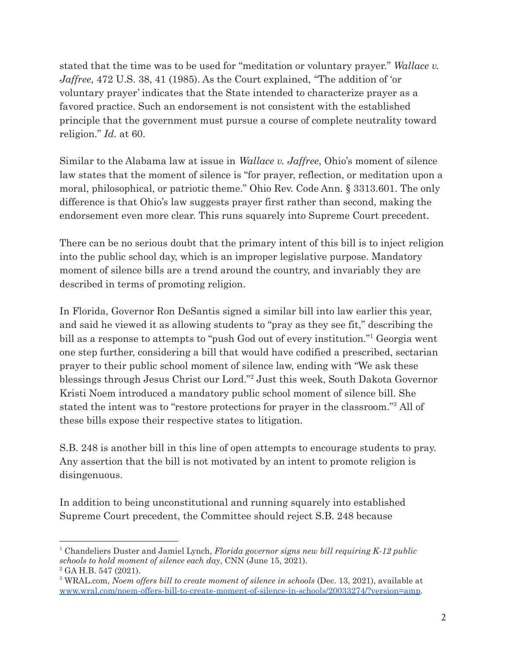stated that the time was to be used for "meditation or voluntary prayer." *Wallace v. Jaffree*, 472 U.S. 38, 41 (1985). As the Court explained, "The addition of 'or voluntary prayer' indicates that the State intended to characterize prayer as a favored practice. Such an endorsement is not consistent with the established principle that the government must pursue a course of complete neutrality toward religion." *Id.* at 60.

Similar to the Alabama law at issue in *Wallace v. Jaffree*, Ohio's moment of silence law states that the moment of silence is "for prayer, reflection, or meditation upon a moral, philosophical, or patriotic theme." Ohio Rev. Code Ann. § 3313.601. The only difference is that Ohio's law suggests prayer first rather than second, making the endorsement even more clear. This runs squarely into Supreme Court precedent.

There can be no serious doubt that the primary intent of this bill is to inject religion into the public school day, which is an improper legislative purpose. Mandatory moment of silence bills are a trend around the country, and invariably they are described in terms of promoting religion.

In Florida, Governor Ron DeSantis signed a similar bill into law earlier this year, and said he viewed it as allowing students to "pray as they see fit," describing the bill as a response to attempts to "push God out of every institution."<sup>1</sup> Georgia went one step further, considering a bill that would have codified a prescribed, sectarian prayer to their public school moment of silence law, ending with "We ask these blessings through Jesus Christ our Lord."<sup>2</sup> Just this week, South Dakota Governor Kristi Noem introduced a mandatory public school moment of silence bill. She stated the intent was to "restore protections for prayer in the classroom."<sup>3</sup> All of these bills expose their respective states to litigation.

S.B. 248 is another bill in this line of open attempts to encourage students to pray. Any assertion that the bill is not motivated by an intent to promote religion is disingenuous.

In addition to being unconstitutional and running squarely into established Supreme Court precedent, the Committee should reject S.B. 248 because

 $2$  GA H.B. 547 (2021). <sup>1</sup> Chandeliers Duster and Jamiel Lynch, *Florida governor signs new bill requiring K-12 public schools to hold moment of silence each day*, CNN (June 15, 2021).

<sup>3</sup> WRAL.com, *Noem offers bill to create moment of silence in schools* (Dec. 13, 2021), available at [www.wral.com/noem-offers-bill-to-create-moment-of-silence-in-schools/20033274/?version=amp](https://www.wral.com/noem-offers-bill-to-create-moment-of-silence-in-schools/20033274/?version=amp).